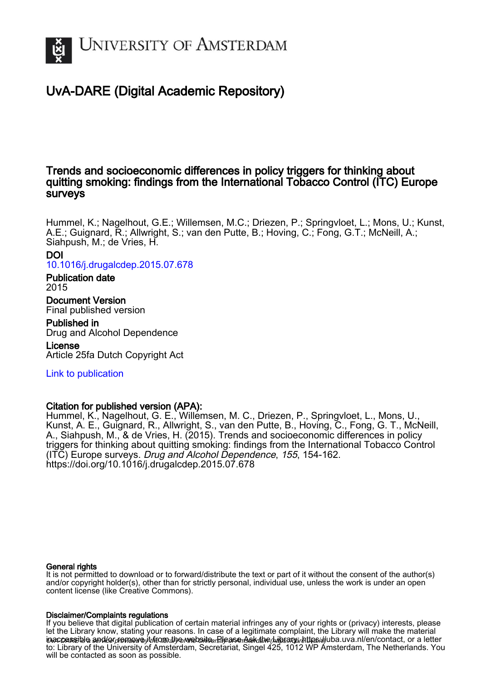

# UvA-DARE (Digital Academic Repository)

# Trends and socioeconomic differences in policy triggers for thinking about quitting smoking: findings from the International Tobacco Control (ITC) Europe surveys

Hummel, K.; Nagelhout, G.E.; Willemsen, M.C.; Driezen, P.; Springvloet, L.; Mons, U.; Kunst, A.E.; Guignard, R.; Allwright, S.; van den Putte, B.; Hoving, C.; Fong, G.T.; McNeill, A.; Siahpush, M.; de Vries, H.

DOI

[10.1016/j.drugalcdep.2015.07.678](https://doi.org/10.1016/j.drugalcdep.2015.07.678)

# Publication date 2015

Document Version Final published version

Published in Drug and Alcohol Dependence

License Article 25fa Dutch Copyright Act

[Link to publication](https://dare.uva.nl/personal/pure/en/publications/trends-and-socioeconomic-differences-in-policy-triggers-for-thinking-about-quitting-smoking-findings-from-the-international-tobacco-control-itc-europe-surveys(bab97a46-872a-4af3-a8d8-05135ee8dc4d).html)

# Citation for published version (APA):

Hummel, K., Nagelhout, G. E., Willemsen, M. C., Driezen, P., Springvloet, L., Mons, U., Kunst, A. E., Guignard, R., Allwright, S., van den Putte, B., Hoving, C., Fong, G. T., McNeill, A., Siahpush, M., & de Vries, H. (2015). Trends and socioeconomic differences in policy triggers for thinking about quitting smoking: findings from the International Tobacco Control (ITC) Europe surveys. Drug and Alcohol Dependence, 155, 154-162. <https://doi.org/10.1016/j.drugalcdep.2015.07.678>

# General rights

It is not permitted to download or to forward/distribute the text or part of it without the consent of the author(s) and/or copyright holder(s), other than for strictly personal, individual use, unless the work is under an open content license (like Creative Commons).

# Disclaimer/Complaints regulations

i**naccessible and/or remove** it from the website. Blease Ask the Library: https://uba.uva.nl/en/contact, or a letter If you believe that digital publication of certain material infringes any of your rights or (privacy) interests, please let the Library know, stating your reasons. In case of a legitimate complaint, the Library will make the material to: Library of the University of Amsterdam, Secretariat, Singel 425, 1012 WP Amsterdam, The Netherlands. You will be contacted as soon as possible.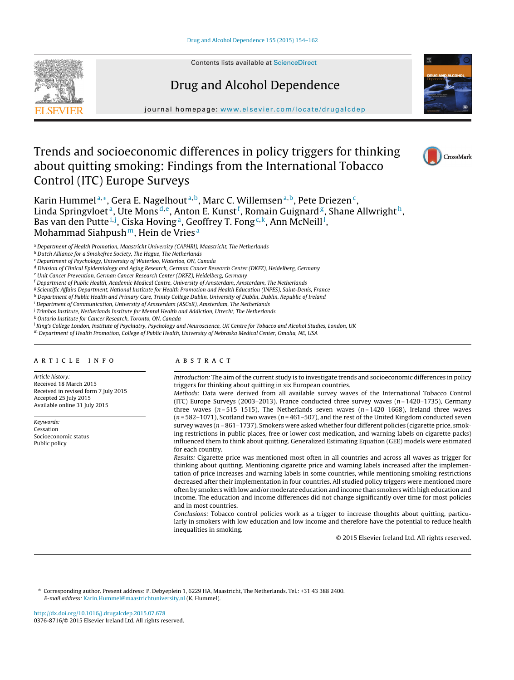

Contents lists available at [ScienceDirect](http://www.sciencedirect.com/science/journal/03768716)

# Drug and Alcohol Dependence



iournal homepage: [www.elsevier.com/locate/drugalcdep](http://www.elsevier.com/locate/drugalcdep)

# Trends and socioeconomic differences in policy triggers for thinking about quitting smoking: Findings from the International Tobacco Control (ITC) Europe Surveys



Karin Hummel<sup>a,\*</sup>, Gera E. Nagelhout<sup>a,b</sup>, Marc C. Willemsen<sup>a,b</sup>, Pete Driezen<sup>c</sup>, Linda Springvloet<sup>a</sup>, Ute Mons<sup>d,e</sup>, Anton E. Kunst<sup>f</sup>, Romain Guignard<sup>g</sup>, Shane Allwright<sup>h</sup>, Bas van den Putte $^{\text{i,j}}$ , Ciska Hoving $^{\text{a}}$ , Geoffrey T. Fong $^{\text{c,k}}$ , Ann McNeill $^{\text{l}}$ , Mohammad Siahpush<sup>m</sup>, Hein de Vries<sup>a</sup>

<sup>a</sup> Department of Health Promotion, Maastricht University (CAPHRI), Maastricht, The Netherlands

**b** Dutch Alliance for a Smokefree Society, The Hague, The Netherlands

<sup>c</sup> Department of Psychology, University of Waterloo, Waterloo, ON, Canada

<sup>d</sup> Division of Clinical Epidemiology and Aging Research, German Cancer Research Center (DKFZ), Heidelberg, Germany

<sup>e</sup> Unit Cancer Prevention, German Cancer Research Center (DKFZ), Heidelberg, Germany

<sup>f</sup> Department of Public Health, Academic Medical Centre, University of Amsterdam, Amsterdam, The Netherlands

<sup>g</sup> Scientific Affairs Department, National Institute for Health Promotion and Health Education (INPES), Saint-Denis, France

<sup>h</sup> Department of Public Health and Primary Care, Trinity College Dublin, University of Dublin, Dublin, Republic of Ireland

<sup>i</sup> Department of Communication, University of Amsterdam (ASCoR), Amsterdam, The Netherlands

j Trimbos Institute, Netherlands Institute for Mental Health and Addiction, Utrecht, The Netherlands

<sup>k</sup> Ontario Institute for Cancer Research, Toronto, ON, Canada

<sup>1</sup> King's College London, Institute of Psychiatry, Psychology and Neuroscience, UK Centre for Tobacco and Alcohol Studies, London, UK

<sup>m</sup> Department of Health Promotion, College of Public Health, University of Nebraska Medical Center, Omaha, NE, USA

## a r t i c l e i n f o

Article history: Received 18 March 2015 Received in revised form 7 July 2015 Accepted 25 July 2015 Available online 31 July 2015

Keywords: Cessation Socioeconomic status Public policy

## a b s t r a c t

Introduction: The aim of the current study is to investigate trends and socioeconomic differences in policy triggers for thinking about quitting in six European countries.

Methods: Data were derived from all available survey waves of the International Tobacco Control (ITC) Europe Surveys (2003–2013). France conducted three survey waves  $(n=1420-1735)$ , Germany three waves ( $n = 515-1515$ ), The Netherlands seven waves ( $n = 1420-1668$ ), Ireland three waves  $(n = 582-1071)$ , Scotland two waves  $(n = 461-507)$ , and the rest of the United Kingdom conducted seven survey waves (n = 861-1737). Smokers were asked whether four different policies (cigarette price, smoking restrictions in public places, free or lower cost medication, and warning labels on cigarette packs) influenced them to think about quitting. Generalized Estimating Equation (GEE) models were estimated for each country.

Results: Cigarette price was mentioned most often in all countries and across all waves as trigger for thinking about quitting. Mentioning cigarette price and warning labels increased after the implementation of price increases and warning labels in some countries, while mentioning smoking restrictions decreased after their implementation in four countries. All studied policy triggers were mentioned more often by smokers with low and/or moderate education and income than smokers with high education and income. The education and income differences did not change significantly over time for most policies and in most countries.

Conclusions: Tobacco control policies work as a trigger to increase thoughts about quitting, particularly in smokers with low education and low income and therefore have the potential to reduce health inequalities in smoking.

© 2015 Elsevier Ireland Ltd. All rights reserved.

∗ Corresponding author. Present address: P. Debyeplein 1, 6229 HA, Maastricht, The Netherlands. Tel.: +31 43 388 2400. E-mail address: [Karin.Hummel@maastrichtuniversity.nl](mailto:Karin.Hummel@maastrichtuniversity.nl) (K. Hummel).

[http://dx.doi.org/10.1016/j.drugalcdep.2015.07.678](dx.doi.org/10.1016/j.drugalcdep.2015.07.678) 0376-8716/© 2015 Elsevier Ireland Ltd. All rights reserved.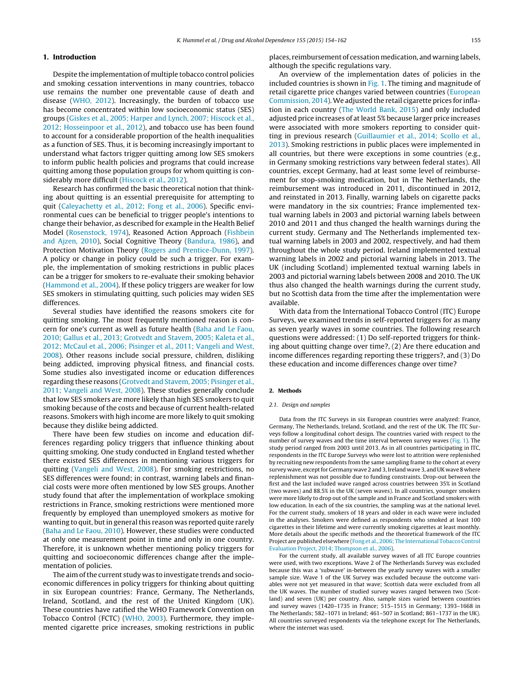## **1. Introduction**

Despite the implementation of multiple tobacco control policies and smoking cessation interventions in many countries, tobacco use remains the number one preventable cause of death and disease [\(WHO,](#page-9-0) [2012\).](#page-9-0) Increasingly, the burden of tobacco use has become concentrated within low socioeconomic status (SES) groups [\(Giskes](#page-8-0) et [al.,](#page-8-0) [2005;](#page-8-0) [Harper](#page-8-0) [and](#page-8-0) [Lynch,](#page-8-0) [2007;](#page-8-0) [Hiscock](#page-8-0) et [al.,](#page-8-0) [2012;](#page-8-0) [Hosseinpoor](#page-8-0) et [al.,](#page-8-0) [2012\),](#page-8-0) and tobacco use has been found to account for a considerable proportion of the health inequalities as a function of SES. Thus, it is becoming increasingly important to understand what factors trigger quitting among low SES smokers to inform public health policies and programs that could increase quitting among those population groups for whom quitting is considerably more difficult [\(Hiscock](#page-8-0) et [al.,](#page-8-0) [2012\).](#page-8-0)

Research has confirmed the basic theoretical notion that thinking about quitting is an essential prerequisite for attempting to quit ([Caleyachetty](#page-8-0) et [al.,](#page-8-0) [2012;](#page-8-0) [Fong](#page-8-0) et [al.,](#page-8-0) [2006\).](#page-8-0) Specific environmental cues can be beneficial to trigger people's intentions to change their behavior, as described for example in the Health Belief Model ([Rosenstock,](#page-8-0) [1974\),](#page-8-0) Reasoned Action Approach [\(Fishbein](#page-8-0) [and](#page-8-0) [Ajzen,](#page-8-0) [2010\),](#page-8-0) Social Cognitive Theory ([Bandura,](#page-8-0) [1986\),](#page-8-0) and Protection Motivation Theory [\(Rogers](#page-8-0) [and](#page-8-0) [Prentice-Dunn,](#page-8-0) [1997\).](#page-8-0) A policy or change in policy could be such a trigger. For example, the implementation of smoking restrictions in public places can be a trigger for smokers to re-evaluate their smoking behavior ([Hammond](#page-8-0) et [al.,](#page-8-0) [2004\).](#page-8-0) If these policy triggers are weaker for low SES smokers in stimulating quitting, such policies may widen SES differences.

Several studies have identified the reasons smokers cite for quitting smoking. The most frequently mentioned reason is concern for one's current as well as future health ([Baha](#page-8-0) [and](#page-8-0) [Le](#page-8-0) [Faou,](#page-8-0) [2010;](#page-8-0) [Gallus](#page-8-0) et [al.,](#page-8-0) [2013;](#page-8-0) [Grotvedt](#page-8-0) [and](#page-8-0) [Stavem,](#page-8-0) [2005;](#page-8-0) [Kaleta](#page-8-0) et [al.,](#page-8-0) [2012;](#page-8-0) [McCaul](#page-8-0) et [al.,](#page-8-0) [2006;](#page-8-0) [Pisinger](#page-8-0) et [al.,](#page-8-0) [2011;](#page-8-0) [Vangeli](#page-8-0) [and](#page-8-0) [West,](#page-8-0) [2008\).](#page-8-0) Other reasons include social pressure, children, disliking being addicted, improving physical fitness, and financial costs. Some studies also investigated income or education differences regarding these reasons ([Grotvedt](#page-8-0) [and](#page-8-0) [Stavem,](#page-8-0) [2005;](#page-8-0) [Pisinger](#page-8-0) et [al.,](#page-8-0) [2011;](#page-8-0) [Vangeli](#page-8-0) [and](#page-8-0) [West,](#page-8-0) [2008\).](#page-8-0) These studies generally conclude that low SES smokers are more likely than high SES smokers to quit smoking because of the costs and because of current health-related reasons. Smokers with high income are more likely to quit smoking because they dislike being addicted.

There have been few studies on income and education differences regarding policy triggers that influence thinking about quitting smoking. One study conducted in England tested whether there existed SES differences in mentioning various triggers for quitting ([Vangeli](#page-9-0) [and](#page-9-0) [West,](#page-9-0) [2008\).](#page-9-0) For smoking restrictions, no SES differences were found; in contrast, warning labels and financial costs were more often mentioned by low SES groups. Another study found that after the implementation of workplace smoking restrictions in France, smoking restrictions were mentioned more frequently by employed than unemployed smokers as motive for wanting to quit, but in general this reason was reported quite rarely ([Baha](#page-8-0) [and](#page-8-0) [Le](#page-8-0) [Faou,](#page-8-0) [2010\).](#page-8-0) However, these studies were conducted at only one measurement point in time and only in one country. Therefore, it is unknown whether mentioning policy triggers for quitting and socioeconomic differences change after the implementation of policies.

The aim of the current study was to investigate trends and socioeconomic differences in policy triggers for thinking about quitting in six European countries: France, Germany, The Netherlands, Ireland, Scotland, and the rest of the United Kingdom (UK). These countries have ratified the WHO Framework Convention on Tobacco Control (FCTC) ([WHO,](#page-9-0) [2003\).](#page-9-0) Furthermore, they implemented cigarette price increases, smoking restrictions in public places, reimbursement of cessation medication, and warning labels, although the specific regulations vary.

An overview of the implementation dates of policies in the included countries is shown in [Fig.](#page-3-0) 1. The timing and magnitude of retail cigarette price changes varied between countries [\(European](#page-8-0) [Commission,](#page-8-0) [2014\).](#page-8-0)We adjusted the retail cigarette prices for inflation in each country ([The](#page-9-0) [World](#page-9-0) [Bank,](#page-9-0) [2015\)](#page-9-0) and only included adjusted price increases of atleast 5% because larger price increases were associated with more smokers reporting to consider quitting in previous research ([Guillaumier](#page-8-0) et [al.,](#page-8-0) [2014;](#page-8-0) [Scollo](#page-8-0) et [al.,](#page-8-0) [2013\).](#page-8-0) Smoking restrictions in public places were implemented in all countries, but there were exceptions in some countries (e.g., in Germany smoking restrictions vary between federal states). All countries, except Germany, had at least some level of reimbursement for stop-smoking medication, but in The Netherlands, the reimbursement was introduced in 2011, discontinued in 2012, and reinstated in 2013. Finally, warning labels on cigarette packs were mandatory in the six countries; France implemented textual warning labels in 2003 and pictorial warning labels between 2010 and 2011 and thus changed the health warnings during the current study. Germany and The Netherlands implemented textual warning labels in 2003 and 2002, respectively, and had them throughout the whole study period. Ireland implemented textual warning labels in 2002 and pictorial warning labels in 2013. The UK (including Scotland) implemented textual warning labels in 2003 and pictorial warning labels between 2008 and 2010. The UK thus also changed the health warnings during the current study, but no Scottish data from the time after the implementation were available.

With data from the International Tobacco Control (ITC) Europe Surveys, we examined trends in self-reported triggers for as many as seven yearly waves in some countries. The following research questions were addressed: (1) Do self-reported triggers for thinking about quitting change over time?, (2) Are there education and income differences regarding reporting these triggers?, and (3) Do these education and income differences change over time?

### **2. Methods**

#### 2.1. Design and samples

Data from the ITC Surveys in six European countries were analyzed: France, Germany, The Netherlands, Ireland, Scotland, and the rest of the UK. The ITC Surveys follow a longitudinal cohort design. The countries varied with respect to the number of survey waves and the time interval between survey waves [\(Fig.](#page-3-0) 1). The study period ranged from 2003 until 2013. As in all countries participating in ITC, respondents in the ITC Europe Surveys who were lost to attrition were replenished by recruiting new respondents from the same sampling frame to the cohort at every survey wave, except for Germany wave 2 and 3, Ireland wave 3, and UK wave 8 where replenishment was not possible due to funding constraints. Drop-out between the first and the last included wave ranged across countries between 35% in Scotland (two waves) and 88.5% in the UK (seven waves). In all countries, younger smokers were more likely to drop out of the sample and in France and Scotland smokers with low education. In each of the six countries, the sampling was at the national level. For the current study, smokers of 18 years and older in each wave were included in the analyses. Smokers were defined as respondents who smoked at least 100 cigarettes in their lifetime and were currently smoking cigarettes at least monthly. More details about the specific methods and the theoretical framework of the ITC Project are published elsewhere [\(Fong](#page-8-0) et [al.,](#page-8-0) [2006;](#page-8-0) [The](#page-8-0) [International](#page-8-0) [Tobacco](#page-8-0) [Control](#page-8-0) [Evaluation](#page-8-0) [Project,](#page-8-0) [2014;](#page-8-0) [Thompson](#page-8-0) et [al.,](#page-8-0) [2006\).](#page-8-0)

For the current study, all available survey waves of all ITC Europe countries were used, with two exceptions. Wave 2 of The Netherlands Survey was excluded because this was a 'subwave' in-between the yearly survey waves with a smaller sample size. Wave 1 of the UK Survey was excluded because the outcome variables were not yet measured in that wave; Scottish data were excluded from all the UK waves. The number of studied survey waves ranged between two (Scotland) and seven (UK) per country. Also, sample sizes varied between countries and survey waves (1420–1735 in France; 515–1515 in Germany; 1393–1668 in The Netherlands; 582–1071 in Ireland; 461–507 in Scotland; 861–1737 in the UK). All countries surveyed respondents via the telephone except for The Netherlands, where the internet was used.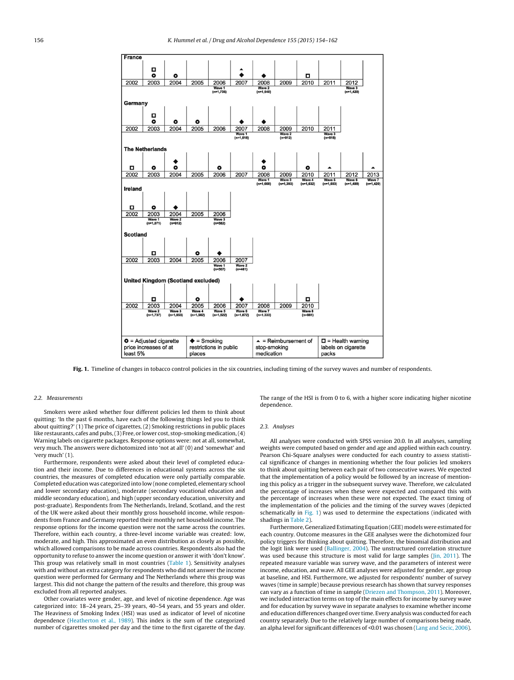<span id="page-3-0"></span>

**Fig. 1.** Timeline of changes in tobacco control policies in the six countries, including timing of the survey waves and number of respondents.

#### 2.2. Measurements

Smokers were asked whether four different policies led them to think about quitting: 'In the past 6 months, have each of the following things led you to think about quitting?' (1) The price of cigarettes, (2) Smoking restrictions in public places like restaurants, cafes and pubs,(3) Free, or lower cost, stop-smoking medication,(4) Warning labels on cigarette packages. Response options were: not at all, somewhat, very much. The answers were dichotomized into 'not at all' (0) and 'somewhat' and 'very much' (1).

Furthermore, respondents were asked about their level of completed education and their income. Due to differences in educational systems across the six countries, the measures of completed education were only partially comparable. Completed education was categorized into low (none completed, elementary school and lower secondary education), moderate (secondary vocational education and middle secondary education), and high (upper secondary education, university and post-graduate). Respondents from The Netherlands, Ireland, Scotland, and the rest of the UK were asked about their monthly gross household income, while respondents from France and Germany reported their monthly net household income. The response options for the income question were not the same across the countries. Therefore, within each country, a three-level income variable was created: low, moderate, and high. This approximated an even distribution as closely as possible, which allowed comparisons to be made across countries. Respondents also had the opportunity to refuse to answer the income question or answer it with 'don't know'. This group was relatively small in most countries [\(Table](#page-4-0) 1). Sensitivity analyses with and without an extra category for respondents who did not answer the income question were performed for Germany and The Netherlands where this group was largest. This did not change the pattern of the results and therefore, this group was excluded from all reported analyses.

Other covariates were gender, age, and level of nicotine dependence. Age was categorized into: 18–24 years, 25–39 years, 40–54 years, and 55 years and older. The Heaviness of Smoking Index (HSI) was used as indicator of level of nicotine dependence [\(Heatherton](#page-8-0) et [al.,](#page-8-0) [1989\).](#page-8-0) This index is the sum of the categorized number of cigarettes smoked per day and the time to the first cigarette of the day.

The range of the HSI is from 0 to 6, with a higher score indicating higher nicotine dependence.

#### 2.3. Analyses

All analyses were conducted with SPSS version 20.0. In all analyses, sampling weights were computed based on gender and age and applied within each country. Pearson Chi-Square analyses were conducted for each country to assess statistical significance of changes in mentioning whether the four policies led smokers to think about quitting between each pair of two consecutive waves. We expected that the implementation of a policy would be followed by an increase of mentioning this policy as a trigger in the subsequent survey wave. Therefore, we calculated the percentage of increases when these were expected and compared this with the percentage of increases when these were not expected. The exact timing of the implementation of the policies and the timing of the survey waves (depicted schematically in Fig. 1) was used to determine the expectations (indicated with shadings in [Table](#page-4-0) 2).

Furthermore, Generalized Estimating Equation (GEE) models were estimated for each country. Outcome measures in the GEE analyses were the dichotomized four policy triggers for thinking about quitting. Therefore, the binomial distribution and the logit link were used ([Ballinger,](#page-8-0) [2004\).](#page-8-0) The unstructured correlation structure was used because this structure is most valid for large samples [\(Jin,](#page-8-0) [2011\).](#page-8-0) The repeated measure variable was survey wave, and the parameters of interest were income, education, and wave. All GEE analyses were adjusted for gender, age group at baseline, and HSI. Furthermore, we adjusted for respondents' number of survey waves (time in sample) because previous research has shown that survey responses can vary as a function of time in sample ([Driezen](#page-8-0) [and](#page-8-0) [Thompson,](#page-8-0) [2011\).](#page-8-0) Moreover, we included interaction terms on top of the main effects for income by survey wave and for education by survey wave in separate analyses to examine whether income and education differences changed over time. Every analysis was conducted for each country separately. Due to the relatively large number of comparisons being made, an alpha level for significant differences of <0.01 was chosen ([Lang](#page-8-0) [and](#page-8-0) [Secic,](#page-8-0) [2006\).](#page-8-0)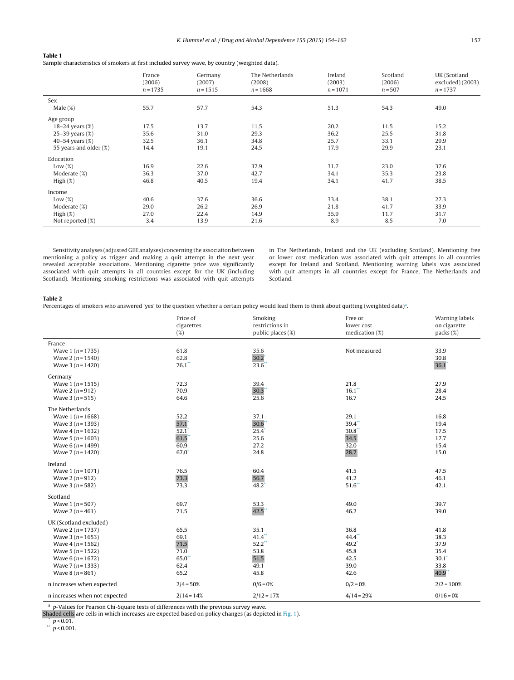### <span id="page-4-0"></span>**Table 1**

Sample characteristics of smokers at first included survey wave, by country (weighted data).

|                        | France<br>(2006)<br>$n = 1735$ | Germany<br>(2007)<br>$n = 1515$ | The Netherlands<br>(2008)<br>$n = 1668$ | Ireland<br>(2003)<br>$n = 1071$ | Scotland<br>(2006)<br>$n = 507$ | UK (Scotland<br>excluded) (2003)<br>$n = 1737$ |
|------------------------|--------------------------------|---------------------------------|-----------------------------------------|---------------------------------|---------------------------------|------------------------------------------------|
| Sex                    |                                |                                 |                                         |                                 |                                 |                                                |
| Male $(\%)$            | 55.7                           | 57.7                            | 54.3                                    | 51.3                            | 54.3                            | 49.0                                           |
| Age group              |                                |                                 |                                         |                                 |                                 |                                                |
| 18–24 years $(\%)$     | 17.5                           | 13.7                            | 11.5                                    | 20.2                            | 11.5                            | 15.2                                           |
| 25-39 years (%)        | 35.6                           | 31.0                            | 29.3                                    | 36.2                            | 25.5                            | 31.8                                           |
| 40-54 years (%)        | 32.5                           | 36.1                            | 34.8                                    | 25.7                            | 33.1                            | 29.9                                           |
| 55 years and older (%) | 14.4                           | 19.1                            | 24.5                                    | 17.9                            | 29.9                            | 23.1                                           |
| Education              |                                |                                 |                                         |                                 |                                 |                                                |
| Low $(\%)$             | 16.9                           | 22.6                            | 37.9                                    | 31.7                            | 23.0                            | 37.6                                           |
| Moderate (%)           | 36.3                           | 37.0                            | 42.7                                    | 34.1                            | 35.3                            | 23.8                                           |
| $High (\%)$            | 46.8                           | 40.5                            | 19.4                                    | 34.1                            | 41.7                            | 38.5                                           |
| Income                 |                                |                                 |                                         |                                 |                                 |                                                |
| Low $(\%)$             | 40.6                           | 37.6                            | 36.6                                    | 33.4                            | 38.1                            | 27.3                                           |
| Moderate (%)           | 29.0                           | 26.2                            | 26.9                                    | 21.8                            | 41.7                            | 33.9                                           |
| $High (\%)$            | 27.0                           | 22.4                            | 14.9                                    | 35.9                            | 11.7                            | 31.7                                           |
| Not reported (%)       | 3.4                            | 13.9                            | 21.6                                    | 8.9                             | 8.5                             | 7.0                                            |

 ${\sf Sensitivity}$  analyses (adjusted GEE analyses) concerning the association between mentioning a policy as trigger and making a quit attempt in the next year revealed acceptable associations. Mentioning cigarette price was significantly associated with quit attempts in all countries except for the UK (including Scotland). Mentioning smoking restrictions was associated with quit attempts

in The Netherlands, Ireland and the UK (excluding Scotland). Mentioning free or lower cost medication was associated with quit attempts in all countries except for Ireland and Scotland. Mentioning warning labels was associated with quit attempts in all countries except for France, The Netherlands and Scotland.

#### **Table 2**

Percentages of smokers who answered 'yes' to the question whether a certain policy would lead them to think about quitting (weighted data)<sup>a</sup>.

|                                                                                                                                                                           | Price of<br>cigarettes<br>$(\%)$                     | Smoking<br>restrictions in<br>public places (%)             | Free or<br>lower cost<br>medication (%)                                            | Warning labels<br>on cigarette<br>packs (%)                         |
|---------------------------------------------------------------------------------------------------------------------------------------------------------------------------|------------------------------------------------------|-------------------------------------------------------------|------------------------------------------------------------------------------------|---------------------------------------------------------------------|
| France<br>Wave $1(n=1735)$<br>Wave $2(n=1540)$<br>Wave $3(n = 1420)$                                                                                                      | 61.8<br>62.8<br>$76.1$ **                            | 35.6<br>30.2<br>23.6                                        | Not measured                                                                       | 33.9<br>30.8<br>36.1                                                |
| Germany<br>Wave $1(n = 1515)$<br>Wave $2(n=912)$<br>Wave $3(n=515)$                                                                                                       | 72.3<br>70.9<br>64.6                                 | 39.4<br>$30.3^*$<br>25.6                                    | 21.8<br>$16.1$ <sup>*</sup><br>16.7                                                | 27.9<br>28.4<br>24.5                                                |
| The Netherlands<br>Wave $1(n = 1668)$<br>Wave $3(n = 1393)$<br>Wave $4(n=1632)$<br>Wave $5(n = 1603)$<br>Wave $6(n = 1499)$<br>Wave $7(n = 1420)$                         | 52.2<br>57.1<br>52.1<br>61.5<br>60.9<br>67.0         | 37.1<br>30.6<br>$25.4$ <sup>*</sup><br>25.6<br>27.2<br>24.8 | 29.1<br>$39.4$ **<br>$30.8^*$<br>34.5<br>32.0<br>28.7                              | 16.8<br>19.4<br>17.5<br>17.7<br>15.4<br>15.0                        |
| Ireland<br>Wave $1(n = 1071)$<br>Wave $2(n=912)$<br>Wave $3(n=582)$                                                                                                       | 76.5<br>73.3<br>73.3                                 | 60.4<br>56.7<br>$48.2$ <sup>*</sup>                         | 41.5<br>41.2<br>$51.6$ **                                                          | 47.5<br>46.1<br>42.1                                                |
| Scotland<br>Wave $1(n=507)$<br>Wave $2(n=461)$                                                                                                                            | 69.7<br>71.5                                         | 53.3<br>42.5                                                | 49.0<br>46.2                                                                       | 39.7<br>39.0                                                        |
| UK (Scotland excluded)<br>Wave $2(n = 1737)$<br>Wave $3(n=1653)$<br>Wave $4(n=1562)$<br>Wave $5(n = 1522)$<br>Wave $6(n = 1672)$<br>Wave $7(n=1333)$<br>Wave $8(n = 861)$ | 65.5<br>69.1<br>71.5<br>71.0<br>65.0<br>62.4<br>65.2 | 35.1<br>41.4<br>$52.2$ **<br>53.8<br>51.5<br>49.1<br>45.8   | 36.8<br>$44.4$ <sup>*</sup><br>$49.2$ <sup>*</sup><br>45.8<br>42.5<br>39.0<br>42.6 | 41.8<br>38.3<br>37.9<br>35.4<br>$30.1$ <sup>*</sup><br>33.8<br>40.9 |
| n increases when expected<br>n increases when not expected                                                                                                                | $2/4 = 50%$<br>$2/14 = 14%$                          | $0/6 = 0%$<br>$2/12 = 17%$                                  | $0/2 = 0%$<br>$4/14 = 29%$                                                         | $2/2 = 100%$<br>$0/16 = 0%$                                         |

 $a$  p-Values for Pearson Chi-Square tests of differences with the previous survey wave.

Shaded cells are cells in which increases are expected based on policy changes (as depicted in [Fig.](#page-3-0) 1).

 $p$  < 0.01.  $\frac{1}{p}$  > 0.001.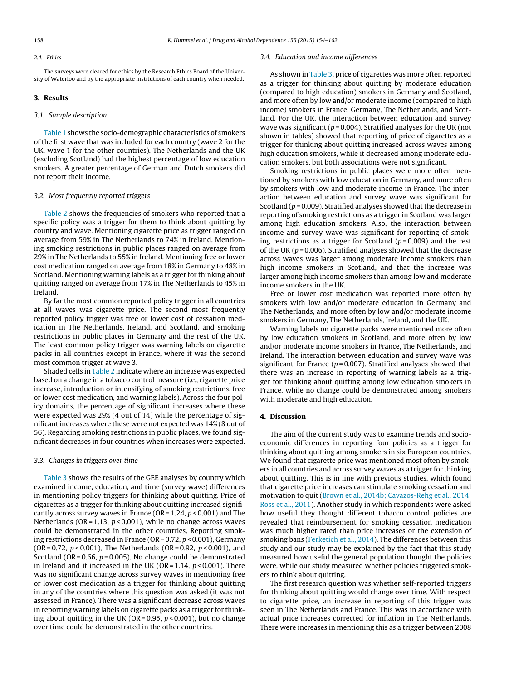#### 2.4 Fthics

The surveys were cleared for ethics by the Research Ethics Board of the University of Waterloo and by the appropriate institutions of each country when needed.

### **3. Results**

### 3.1. Sample description

[Table](#page-4-0) 1 shows the socio-demographic characteristics of smokers of the first wave that was included for each country (wave 2 for the UK, wave 1 for the other countries). The Netherlands and the UK (excluding Scotland) had the highest percentage of low education smokers. A greater percentage of German and Dutch smokers did not report their income.

### 3.2. Most frequently reported triggers

[Table](#page-4-0) 2 shows the frequencies of smokers who reported that a specific policy was a trigger for them to think about quitting by country and wave. Mentioning cigarette price as trigger ranged on average from 59% in The Netherlands to 74% in Ireland. Mentioning smoking restrictions in public places ranged on average from 29% in The Netherlands to 55% in Ireland. Mentioning free or lower cost medication ranged on average from 18% in Germany to 48% in Scotland. Mentioning warning labels as a trigger for thinking about quitting ranged on average from 17% in The Netherlands to 45% in Ireland.

By far the most common reported policy trigger in all countries at all waves was cigarette price. The second most frequently reported policy trigger was free or lower cost of cessation medication in The Netherlands, Ireland, and Scotland, and smoking restrictions in public places in Germany and the rest of the UK. The least common policy trigger was warning labels on cigarette packs in all countries except in France, where it was the second most common trigger at wave 3.

Shaded cells in [Table](#page-4-0) 2 indicate where an increase was expected based on a change in a tobacco control measure (i.e., cigarette price increase, introduction or intensifying of smoking restrictions, free or lower cost medication, and warning labels). Across the four policy domains, the percentage of significant increases where these were expected was 29% (4 out of 14) while the percentage of significant increases where these were not expected was 14% (8 out of 56). Regarding smoking restrictions in public places, we found significant decreases in four countries when increases were expected.

#### 3.3. Changes in triggers over time

[Table](#page-6-0) 3 shows the results of the GEE analyses by country which examined income, education, and time (survey wave) differences in mentioning policy triggers for thinking about quitting. Price of cigarettes as a trigger for thinking about quitting increased significantly across survey waves in France (OR =  $1.24$ ,  $p < 0.001$ ) and The Netherlands (OR = 1.13,  $p$  < 0.001), while no change across waves could be demonstrated in the other countries. Reporting smoking restrictions decreased in France (OR =  $0.72$ ,  $p < 0.001$ ), Germany ( $OR = 0.72$ ,  $p < 0.001$ ), The Netherlands ( $OR = 0.92$ ,  $p < 0.001$ ), and Scotland (OR = 0.66,  $p = 0.005$ ). No change could be demonstrated in Ireland and it increased in the UK (OR =  $1.14$ ,  $p < 0.001$ ). There was no significant change across survey waves in mentioning free or lower cost medication as a trigger for thinking about quitting in any of the countries where this question was asked (it was not assessed in France). There was a significant decrease across waves in reporting warning labels on cigarette packs as a trigger for thinking about quitting in the UK (OR = 0.95,  $p$  < 0.001), but no change over time could be demonstrated in the other countries.

### 3.4. Education and income differences

As shown in [Table](#page-6-0) 3, price of cigarettes was more often reported as a trigger for thinking about quitting by moderate education (compared to high education) smokers in Germany and Scotland, and more often by low and/or moderate income (compared to high income) smokers in France, Germany, The Netherlands, and Scotland. For the UK, the interaction between education and survey wave was significant ( $p = 0.004$ ). Stratified analyses for the UK (not shown in tables) showed that reporting of price of cigarettes as a trigger for thinking about quitting increased across waves among high education smokers, while it decreased among moderate education smokers, but both associations were not significant.

Smoking restrictions in public places were more often mentioned by smokers with low education in Germany, and more often by smokers with low and moderate income in France. The interaction between education and survey wave was significant for Scotland ( $p = 0.009$ ). Stratified analyses showed that the decrease in reporting of smoking restrictions as a trigger in Scotland was larger among high education smokers. Also, the interaction between income and survey wave was significant for reporting of smoking restrictions as a trigger for Scotland ( $p = 0.009$ ) and the rest of the UK ( $p = 0.006$ ). Stratified analyses showed that the decrease across waves was larger among moderate income smokers than high income smokers in Scotland, and that the increase was larger among high income smokers than among low and moderate income smokers in the UK.

Free or lower cost medication was reported more often by smokers with low and/or moderate education in Germany and The Netherlands, and more often by low and/or moderate income smokers in Germany, The Netherlands, Ireland, and the UK.

Warning labels on cigarette packs were mentioned more often by low education smokers in Scotland, and more often by low and/or moderate income smokers in France, The Netherlands, and Ireland. The interaction between education and survey wave was significant for France ( $p = 0.007$ ). Stratified analyses showed that there was an increase in reporting of warning labels as a trigger for thinking about quitting among low education smokers in France, while no change could be demonstrated among smokers with moderate and high education.

## **4. Discussion**

The aim of the current study was to examine trends and socioeconomic differences in reporting four policies as a trigger for thinking about quitting among smokers in six European countries. We found that cigarette price was mentioned most often by smokers in all countries and across survey waves as a trigger for thinking about quitting. This is in line with previous studies, which found that cigarette price increases can stimulate smoking cessation and motivation to quit ([Brown](#page-8-0) et [al.,](#page-8-0) [2014b;](#page-8-0) [Cavazos-Rehg](#page-8-0) et [al.,](#page-8-0) [2014;](#page-8-0) [Ross](#page-8-0) et [al.,](#page-8-0) [2011\).](#page-8-0) Another study in which respondents were asked how useful they thought different tobacco control policies are revealed that reimbursement for smoking cessation medication was much higher rated than price increases or the extension of smoking bans ([Ferketich](#page-8-0) et [al.,](#page-8-0) [2014\).](#page-8-0) The differences between this study and our study may be explained by the fact that this study measured how useful the general population thought the policies were, while our study measured whether policies triggered smokers to think about quitting.

The first research question was whether self-reported triggers for thinking about quitting would change over time. With respect to cigarette price, an increase in reporting of this trigger was seen in The Netherlands and France. This was in accordance with actual price increases corrected for inflation in The Netherlands. There were increases in mentioning this as a trigger between 2008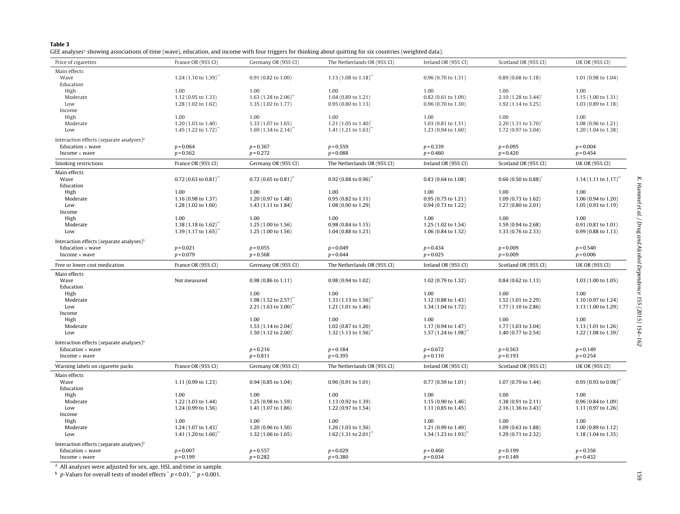#### <span id="page-6-0"></span>**Table 3**

GEE analyses<sup>a</sup> showing associations of time (wave), education, and income with four triggers for thinking about quitting for six countries (weighted data).

| Price of cigarettes                                  | France OR (95% CI)                 | Germany OR (95% CI)                | The Netherlands OR (95% CI)        | Ireland OR (95% CI)                | Scotland OR (95% CI)              | <b>UK OR (95% CI)</b>            |
|------------------------------------------------------|------------------------------------|------------------------------------|------------------------------------|------------------------------------|-----------------------------------|----------------------------------|
| Main effects                                         |                                    |                                    |                                    |                                    |                                   |                                  |
| Wave                                                 | $1.24(1.10 \text{ to } 1.39)^{''}$ | 0.91 (0.82 to 1.00)                | 1.13 (1.08 to 1.18)"               | 0.96 (0.70 to 1.31)                | 0.89 (0.68 to 1.18)               | 1.01 (0.98 to 1.04)              |
| Education                                            |                                    |                                    |                                    |                                    |                                   |                                  |
| High                                                 | 1.00                               | 1.00                               | 1.00                               | 1.00                               | 1.00                              | 1.00                             |
| Moderate                                             | 1.12 (0.95 to 1.33)                | 1.63 (1.28 to 2.06) <sup>**</sup>  | 1.04 (0.89 to 1.21)                | 0.82 (0.61 to 1.09)                | $2.10(1.28 \text{ to } 3.44)^{*}$ | 1.15 (1.00 to 1.31)              |
| Low                                                  | 1.28 (1.02 to 1.62)                | 1.35 (1.02 to 1.77)                | $0.95(0.80 \text{ to } 1.13)$      | 0.96 (0.70 to 1.30)                | 1.92 (1.14 to 3.25)               | 1.03 (0.89 to 1.18)              |
| Income                                               |                                    |                                    |                                    |                                    |                                   |                                  |
| High                                                 | 1.00                               | 1.00                               | 1.00                               | 1.00                               | 1.00                              | 1.00                             |
| Moderate                                             | 1.20 (1.03 to 1.40)                | 1.33 (1.07 to 1.65)                | 1.21 (1.05 to 1.40) <sup>*</sup>   | 1.03 (0.81 to 1.31)                | $2.20(1.31$ to $3.70)^{*}$        | 1.08 (0.96 to 1.21)              |
| Low                                                  | 1.45 (1.22 to 1.72)"               | 1.69 (1.34 to 2.14) <sup>*</sup>   | 1.41 $(1.21 \text{ to } 1.63)^{n}$ | 1.23 (0.94 to 1.60)                | 1.72 (0.97 to 3.04)               | 1.20 (1.04 to 1.38)              |
| Interaction effects (separate analyses) <sup>b</sup> |                                    |                                    |                                    |                                    |                                   |                                  |
| Education $\times$ wave                              | $p = 0.064$                        | $p = 0.367$                        | $p = 0.559$                        | $p = 0.339$                        | $p = 0.095$                       | $p = 0.004$                      |
| Income $\times$ wave                                 | $p = 0.562$                        | $p = 0.272$                        | $p = 0.088$                        | $p = 0.460$                        | $p = 0.420$                       | $p = 0.454$                      |
|                                                      |                                    |                                    |                                    |                                    |                                   |                                  |
| Smoking restrictions                                 | France OR (95% CI)                 | Germany OR (95% CI)                | The Netherlands OR (95% CI)        | Ireland OR (95% CI)                | Scotland OR (95% CI)              | <b>UK OR (95% CI)</b>            |
| Main effects                                         |                                    |                                    |                                    |                                    |                                   |                                  |
| Wave                                                 | $0.72(0.63 \text{ to } 0.81)^{**}$ | $0.72(0.65 \text{ to } 0.81)^{''}$ | $0.92$ (0.88 to 0.96)"             | 0.83 (0.64 to 1.08)                | $0.66(0.50 to 0.88)$ <sup>*</sup> | 1.14 $(1.11$ to $1.17)$ "        |
| Education                                            |                                    |                                    |                                    |                                    |                                   |                                  |
| High                                                 | 1.00                               | 1.00                               | 1.00                               | 1.00                               | 1.00                              | 1.00                             |
| Moderate                                             | 1.16 (0.98 to 1.37)                | 1.20 (0.97 to 1.48)                | $0.95(0.82 \text{ to } 1.11)$      | $0.95(0.75 \text{ to } 1.21)$      | 1.09 (0.73 to 1.62)               | 1.06 (0.94 to 1.20)              |
| Low                                                  | 1.28 (1.02 to 1.60)                | 1.43 (1.11 to 1.84) <sup>*</sup>   | 1.08 (0.90 to 1.29)                | 0.94 (0.73 to 1.22)                | 1.27 (0.80 to 2.01)               | 1.05 (0.93 to 1.19)              |
| Income                                               |                                    | 1.00                               |                                    |                                    | 1.00                              |                                  |
| High                                                 | 1.00                               |                                    | 1.00                               | 1.00                               |                                   | 1.00                             |
| Moderate                                             | 1.38 (1.18 to 1.62)                | 1.25 (1.00 to 1.56)                | 0.98 (0.84 to 1.15)                | 1.25 (1.02 to 1.54)                | 1.59 (0.94 to 2.68)               | 0.91 (0.81 to 1.01)              |
| Low                                                  | 1.39 (1.17 to 1.65)"               | 1.25 (1.00 to 1.56)                | 1.04 (0.88 to 1.23)                | 1.06 (0.84 to 1.32)                | 1.33 (0.76 to 2.33)               | 0.99 (0.88 to 1.13)              |
| Interaction effects (separate analyses) <sup>b</sup> |                                    |                                    |                                    |                                    |                                   |                                  |
| Education $\times$ wave                              | $p = 0.021$                        | $p = 0.055$                        | $p = 0.049$                        | $p = 0.434$                        | $p = 0.009$                       | $p = 0.540$                      |
| Income $\times$ wave                                 | $p = 0.079$                        | $p = 0.568$                        | $p = 0.644$                        | $p = 0.025$                        | $p = 0.009$                       | $p = 0.006$                      |
|                                                      |                                    |                                    |                                    |                                    |                                   |                                  |
| Free or lower cost medication                        | France OR (95% CI)                 | Germany OR (95% CI)                | The Netherlands OR (95% CI)        | Ireland OR (95% CI)                | Scotland OR (95% CI)              | <b>UK OR (95% CI)</b>            |
| Main effects                                         |                                    |                                    |                                    |                                    |                                   |                                  |
| Wave                                                 | Not measured                       | 0.98 (0.86 to 1.11)                | 0.98 (0.94 to 1.02)                | 1.02 (0.79 to 1.32)                | $0.84(0.62 \text{ to } 1.13)$     | 1.03 (1.00 to 1.05)              |
| Education                                            |                                    |                                    |                                    |                                    |                                   |                                  |
| High                                                 |                                    | 1.00                               | 1.00                               | 1.00                               | 1.00                              | 1.00                             |
| Moderate                                             |                                    | 1.98 (1.52 to 2.57)**              | 1.33 (1.13 to $1.56$ )**           | 1.12 (0.88 to 1.43)                | 1.52 (1.01 to 2.29)               | 1.10 (0.97 to 1.24)              |
| Low                                                  |                                    | 2.21 (1.63 to 3.00) <sup>**</sup>  | 1.21 (1.01 to 1.46)                | 1.34 (1.04 to 1.72)                | 1.77 (1.10 to 2.86)               | 1.13 (1.00 to 1.29)              |
| Income                                               |                                    |                                    |                                    |                                    |                                   |                                  |
| High                                                 |                                    | 1.00                               | 1.00                               | 1.00                               | 1.00                              | 1.00                             |
| Moderate                                             |                                    | 1.53 $(1.14$ to 2.04) <sup>*</sup> | 1.02 (0.87 to 1.20)                | 1.17 (0.94 to 1.47)                | 1.77 (1.03 to 3.04)               | 1.13 (1.01 to 1.26)              |
| Low                                                  |                                    | 1.50 (1.12 to 2.00) <sup>*</sup>   | 1.32 (1.13 to 1.56) <sup>*</sup>   | 1.57 (1.24 to 1.98)"               | 1.40 (0.77 to 2.54)               | 1.22 (1.08 to 1.39) <sup>*</sup> |
|                                                      |                                    |                                    |                                    |                                    |                                   |                                  |
| Interaction effects (separate analyses) <sup>b</sup> |                                    |                                    |                                    |                                    |                                   |                                  |
| Education $\times$ wave<br>Income $\times$ wave      |                                    | $p = 0.216$<br>$p = 0.811$         | $p = 0.184$<br>$p = 0.395$         | $p = 0.672$<br>$p = 0.110$         | $p = 0.563$<br>$p = 0.193$        | $p = 0.149$<br>$p = 0.254$       |
|                                                      |                                    |                                    |                                    |                                    |                                   |                                  |
| Warning labels on cigarette packs                    | France OR (95% CI)                 | Germany OR (95% CI)                | The Netherlands OR (95% CI)        | Ireland OR (95% CI)                | Scotland OR (95% CI)              | <b>UK OR (95% CI)</b>            |
| Main effects                                         |                                    |                                    |                                    |                                    |                                   |                                  |
| Wave                                                 | 1.11 (0.99 to 1.23)                | 0.94 (0.85 to 1.04)                | 0.96 (0.91 to 1.01)                | 0.77 (0.59 to 1.01)                | 1.07 (0.79 to 1.44)               | $0.95(0.93 \text{ to } 0.98)$ "  |
| Education                                            |                                    |                                    |                                    |                                    |                                   |                                  |
| High                                                 | 1.00                               | 1.00                               | 1.00                               | 1.00                               | 1.00                              | 1.00                             |
| Moderate                                             | 1.22 (1.03 to 1.44)                | 1.25 (0.98 to 1.59)                | 1.13 (0.92 to 1.39)                | 1.15 (0.90 to 1.46)                | 1.38 (0.91 to 2.11)               | 0.96 (0.84 to 1.09)              |
| Low                                                  | 1.24 (0.99 to 1.56)                | 1.41 (1.07 to 1.86)                | 1.22 (0.97 to 1.54)                | 1.11 (0.85 to 1.45)                | $2.16(1.36 \text{ to } 3.43)^{*}$ | 1.11 (0.97 to 1.26)              |
| Income                                               |                                    |                                    |                                    |                                    |                                   |                                  |
| High                                                 | 1.00                               | 1.00                               | 1.00                               | 1.00                               | 1.00                              | 1.00                             |
| Moderate                                             | 1.24 (1.07 to 1.43) <sup>*</sup>   | 1.20 (0.96 to 1.50)                | 1.26 (1.03 to 1.56)                | 1.21 (0.99 to 1.49)                | 1.09 (0.63 to 1.88)               | 1.00 (0.89 to 1.12)              |
| Low                                                  | 1.41 (1.20 to 1.66)"               | 1.32 (1.06 to 1.65)                | 1.62 (1.31 to 2.01) <sup>*</sup>   | 1.54 $(1.23 \text{ to } 1.93)^{n}$ | 1.29 (0.71 to 2.32)               | 1.18 (1.04 to 1.35)              |
| Interaction effects (separate analyses) <sup>b</sup> |                                    |                                    |                                    |                                    |                                   |                                  |
| Education $\times$ wave<br>Income $\times$ wave      | $p = 0.007$<br>$p = 0.199$         | $p = 0.557$<br>$p = 0.282$         | $p = 0.029$<br>$p = 0.380$         | $p = 0.460$<br>$p = 0.034$         | $p = 0.199$<br>$p = 0.149$        | $p = 0.356$<br>$p = 0.432$       |

<sup>a</sup> All analyses were adjusted for sex, age, HSI, and time in sample.

 $\Phi$  p-Values for overall tests of model effects  $\check{p}$  < 0.01,  $\check{p}$  < 0.001.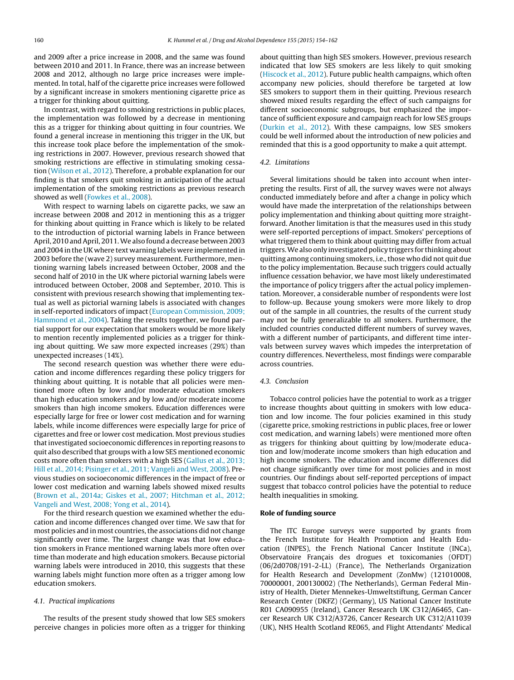and 2009 after a price increase in 2008, and the same was found between 2010 and 2011. In France, there was an increase between 2008 and 2012, although no large price increases were implemented. In total, half of the cigarette price increases were followed by a significant increase in smokers mentioning cigarette price as a trigger for thinking about quitting.

In contrast, with regard to smoking restrictions in public places, the implementation was followed by a decrease in mentioning this as a trigger for thinking about quitting in four countries. We found a general increase in mentioning this trigger in the UK, but this increase took place before the implementation of the smoking restrictions in 2007. However, previous research showed that smoking restrictions are effective in stimulating smoking cessation [\(Wilson](#page-9-0) et [al.,](#page-9-0) [2012\).](#page-9-0) Therefore, a probable explanation for our finding is that smokers quit smoking in anticipation of the actual implementation of the smoking restrictions as previous research showed as well [\(Fowkes](#page-8-0) et [al.,](#page-8-0) [2008\).](#page-8-0)

With respect to warning labels on cigarette packs, we saw an increase between 2008 and 2012 in mentioning this as a trigger for thinking about quitting in France which is likely to be related to the introduction of pictorial warning labels in France between April, 2010 and April, 2011.We also found a decrease between 2003 and 2004 in the UK where text warning labels were implemented in 2003 before the (wave 2) survey measurement. Furthermore, mentioning warning labels increased between October, 2008 and the second half of 2010 in the UK where pictorial warning labels were introduced between October, 2008 and September, 2010. This is consistent with previous research showing that implementing textual as well as pictorial warning labels is associated with changes in self-reported indicators of impact ([European](#page-8-0) [Commission,](#page-8-0) [2009;](#page-8-0) [Hammond](#page-8-0) et [al.,](#page-8-0) [2004\).](#page-8-0) Taking the results together, we found partial support for our expectation that smokers would be more likely to mention recently implemented policies as a trigger for thinking about quitting. We saw more expected increases (29%) than unexpected increases (14%).

The second research question was whether there were education and income differences regarding these policy triggers for thinking about quitting. It is notable that all policies were mentioned more often by low and/or moderate education smokers than high education smokers and by low and/or moderate income smokers than high income smokers. Education differences were especially large for free or lower cost medication and for warning labels, while income differences were especially large for price of cigarettes and free or lower cost medication. Most previous studies that investigated socioeconomic differences in reporting reasons to quit also described that groups with a low SES mentioned economic costs more often than smokers with a high SES ([Gallus](#page-8-0) et [al.,](#page-8-0) [2013;](#page-8-0) [Hill](#page-8-0) et [al.,](#page-8-0) [2014;](#page-8-0) [Pisinger](#page-8-0) et [al.,](#page-8-0) [2011;](#page-8-0) [Vangeli](#page-8-0) [and](#page-8-0) [West,](#page-8-0) [2008\).](#page-8-0) Previous studies on socioeconomic differences in the impact of free or lower cost medication and warning labels showed mixed results ([Brown](#page-8-0) et [al.,](#page-8-0) [2014a;](#page-8-0) [Giskes](#page-8-0) et [al.,](#page-8-0) [2007;](#page-8-0) [Hitchman](#page-8-0) et [al.,](#page-8-0) [2012;](#page-8-0) [Vangeli](#page-8-0) [and](#page-8-0) [West,](#page-8-0) [2008;](#page-8-0) [Yong](#page-8-0) et [al.,](#page-8-0) [2014\).](#page-8-0)

For the third research question we examined whether the education and income differences changed over time. We saw that for most policies and in most countries, the associations did not change significantly over time. The largest change was that low education smokers in France mentioned warning labels more often over time than moderate and high education smokers. Because pictorial warning labels were introduced in 2010, this suggests that these warning labels might function more often as a trigger among low education smokers.

### 4.1. Practical implications

The results of the present study showed that low SES smokers perceive changes in policies more often as a trigger for thinking about quitting than high SES smokers. However, previous research indicated that low SES smokers are less likely to quit smoking [\(Hiscock](#page-8-0) et [al.,](#page-8-0) [2012\).](#page-8-0) Future public health campaigns, which often accompany new policies, should therefore be targeted at low SES smokers to support them in their quitting. Previous research showed mixed results regarding the effect of such campaigns for different socioeconomic subgroups, but emphasized the importance of sufficient exposure and campaign reach for low SES groups [\(Durkin](#page-8-0) et [al.,](#page-8-0) [2012\).](#page-8-0) With these campaigns, low SES smokers could be well informed about the introduction of new policies and reminded that this is a good opportunity to make a quit attempt.

#### 4.2. Limitations

Several limitations should be taken into account when interpreting the results. First of all, the survey waves were not always conducted immediately before and after a change in policy which would have made the interpretation of the relationships between policy implementation and thinking about quitting more straightforward. Another limitation is that the measures used in this study were self-reported perceptions of impact. Smokers' perceptions of what triggered them to think about quitting may differ from actual triggers. We also only investigated policy triggers for thinking about quitting among continuing smokers, i.e., those who did not quit due to the policy implementation. Because such triggers could actually influence cessation behavior, we have most likely underestimated the importance of policy triggers after the actual policy implementation. Moreover, a considerable number of respondents were lost to follow-up. Because young smokers were more likely to drop out of the sample in all countries, the results of the current study may not be fully generalizable to all smokers. Furthermore, the included countries conducted different numbers of survey waves, with a different number of participants, and different time intervals between survey waves which impedes the interpretation of country differences. Nevertheless, most findings were comparable across countries.

#### 4.3. Conclusion

Tobacco control policies have the potential to work as a trigger to increase thoughts about quitting in smokers with low education and low income. The four policies examined in this study (cigarette price, smoking restrictions in public places, free or lower cost medication, and warning labels) were mentioned more often as triggers for thinking about quitting by low/moderate education and low/moderate income smokers than high education and high income smokers. The education and income differences did not change significantly over time for most policies and in most countries. Our findings about self-reported perceptions of impact suggest that tobacco control policies have the potential to reduce health inequalities in smoking.

#### **Role of funding source**

The ITC Europe surveys were supported by grants from the French Institute for Health Promotion and Health Education (INPES), the French National Cancer Institute (INCa), Observatoire Français des drogues et toxicomanies (OFDT) (06/2d0708/191-2-LL) (France), The Netherlands Organization for Health Research and Development (ZonMw) (121010008, 70000001, 200130002) (The Netherlands), German Federal Ministry of Health, Dieter Mennekes-Umweltstiftung, German Cancer Research Center (DKFZ) (Germany), US National Cancer Institute R01 CA090955 (Ireland), Cancer Research UK C312/A6465, Cancer Research UK C312/A3726, Cancer Research UK C312/A11039 (UK), NHS Health Scotland RE065, and Flight Attendants' Medical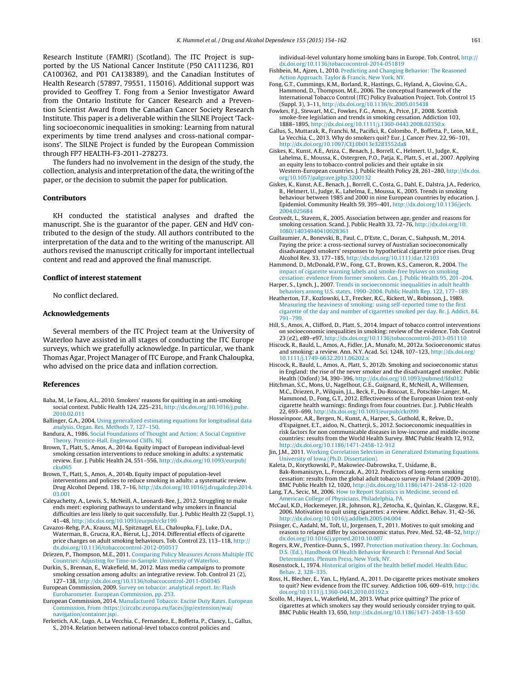<span id="page-8-0"></span>Research Institute (FAMRI) (Scotland). The ITC Project is supported by the US National Cancer Institute (P50 CA111236, R01 CA100362, and P01 CA138389), and the Canadian Institutes of Health Research (57897, 79551, 115016). Additional support was provided to Geoffrey T. Fong from a Senior Investigator Award from the Ontario Institute for Cancer Research and a Prevention Scientist Award from the Canadian Cancer Society Research Institute. This paper is a deliverable within the SILNE Project 'Tackling socioeconomic inequalities in smoking: Learning from natural experiments by time trend analyses and cross-national comparisons'. The SILNE Project is funded by the European Commission through FP7 HEALTH-F3-2011-278273.

The funders had no involvement in the design of the study, the collection, analysis and interpretation of the data, the writing of the paper, or the decision to submit the paper for publication.

#### **Contributors**

KH conducted the statistical analyses and drafted the manuscript. She is the guarantor of the paper. GEN and HdV contributed to the design of the study. All authors contributed to the interpretation of the data and to the writing of the manuscript. All authors revised the manuscript critically for important intellectual content and read and approved the final manuscript.

#### **Conflict of interest statement**

No conflict declared.

## **Acknowledgements**

Several members of the ITC Project team at the University of Waterloo have assisted in all stages of conducting the ITC Europe surveys, which we gratefully acknowledge. In particular, we thank Thomas Agar, Project Manager of ITC Europe, and Frank Chaloupka, who advised on the price data and inflation correction.

#### **References**

- Baha, M., Le Faou, A.L., 2010. Smokers' reasons for quitting in an anti-smoking social context. Public Health 124, 225–231, [http://dx.doi.org/10.1016/j.puhe.](dx.doi.org/10.1016/j.puhe.2010.02.011) [2010.02.011](dx.doi.org/10.1016/j.puhe.2010.02.011)
- Ballinger, G.A., 2004. [Using](http://refhub.elsevier.com/S0376-8716(15)01065-0/sbref0010) [generalized](http://refhub.elsevier.com/S0376-8716(15)01065-0/sbref0010) [estimating](http://refhub.elsevier.com/S0376-8716(15)01065-0/sbref0010) [equations](http://refhub.elsevier.com/S0376-8716(15)01065-0/sbref0010) [for](http://refhub.elsevier.com/S0376-8716(15)01065-0/sbref0010) [longitudinal](http://refhub.elsevier.com/S0376-8716(15)01065-0/sbref0010) [data](http://refhub.elsevier.com/S0376-8716(15)01065-0/sbref0010) [analysis.](http://refhub.elsevier.com/S0376-8716(15)01065-0/sbref0010) [Organ.](http://refhub.elsevier.com/S0376-8716(15)01065-0/sbref0010) [Res.](http://refhub.elsevier.com/S0376-8716(15)01065-0/sbref0010) [Methods](http://refhub.elsevier.com/S0376-8716(15)01065-0/sbref0010) [7,](http://refhub.elsevier.com/S0376-8716(15)01065-0/sbref0010) [127](http://refhub.elsevier.com/S0376-8716(15)01065-0/sbref0010)–[150.](http://refhub.elsevier.com/S0376-8716(15)01065-0/sbref0010)
- Bandura, A., 1986. [Social](http://refhub.elsevier.com/S0376-8716(15)01065-0/sbref0015) [Foundations](http://refhub.elsevier.com/S0376-8716(15)01065-0/sbref0015) [of](http://refhub.elsevier.com/S0376-8716(15)01065-0/sbref0015) [Thought](http://refhub.elsevier.com/S0376-8716(15)01065-0/sbref0015) [and](http://refhub.elsevier.com/S0376-8716(15)01065-0/sbref0015) [Action:](http://refhub.elsevier.com/S0376-8716(15)01065-0/sbref0015) [A](http://refhub.elsevier.com/S0376-8716(15)01065-0/sbref0015) [Social](http://refhub.elsevier.com/S0376-8716(15)01065-0/sbref0015) [Cognitive](http://refhub.elsevier.com/S0376-8716(15)01065-0/sbref0015) [Theory.](http://refhub.elsevier.com/S0376-8716(15)01065-0/sbref0015) [Prentice-Hall,](http://refhub.elsevier.com/S0376-8716(15)01065-0/sbref0015) [Englewood](http://refhub.elsevier.com/S0376-8716(15)01065-0/sbref0015) [Cliffs,](http://refhub.elsevier.com/S0376-8716(15)01065-0/sbref0015) [NJ.](http://refhub.elsevier.com/S0376-8716(15)01065-0/sbref0015)
- Brown, T., Platt, S., Amos, A., 2014a. Equity impact of European individual-level smoking cessation interventions to reduce smoking in adults: a systematic review. Eur. J. Public Health 24, 551–556, [http://dx.doi.org/10.1093/eurpub/](dx.doi.org/10.1093/eurpub/cku065) [cku065](dx.doi.org/10.1093/eurpub/cku065)
- Brown, T., Platt, S., Amos, A., 2014b. Equity impact of population-level interventions and policies to reduce smoking in adults: a systematic review. Drug Alcohol Depend. 138, 7–16, [http://dx.doi.org/10.1016/j.drugalcdep.2014.](dx.doi.org/10.1016/j.drugalcdep.2014.03.001) [03.001](dx.doi.org/10.1016/j.drugalcdep.2014.03.001)
- Caleyachetty, A., Lewis, S., McNeill, A., Leonardi-Bee, J., 2012. Struggling to make ends meet: exploring pathways to understand why smokers in financial difficulties are less likely to quit successfully. Eur. J. Public Health 22 (Suppl. 1), 41–48, [http://dx.doi.org/10.1093/eurpub/ckr199](dx.doi.org/10.1093/eurpub/ckr199)
- Cavazos-Rehg, P.A., Krauss, M.J., Spitznagel, E.L., Chaloupka, F.J., Luke, D.A., Waterman, B., Grucza, R.A., Bierut, L.J., 2014. Differential effects of cigarette price changes on adult smoking behaviours. Tob. Control 23, 113–118, [http://](dx.doi.org/10.1136/tobaccocontrol-2012-050517) <dx.doi.org/10.1136/tobaccocontrol-2012-050517>
- Driezen, P., Thompson, M.E., 2011. [Comparing](http://refhub.elsevier.com/S0376-8716(15)01065-0/sbref0040) [Policy](http://refhub.elsevier.com/S0376-8716(15)01065-0/sbref0040) [Measures](http://refhub.elsevier.com/S0376-8716(15)01065-0/sbref0040) [Across](http://refhub.elsevier.com/S0376-8716(15)01065-0/sbref0040) [Multiple](http://refhub.elsevier.com/S0376-8716(15)01065-0/sbref0040) [ITC](http://refhub.elsevier.com/S0376-8716(15)01065-0/sbref0040) [Countries:](http://refhub.elsevier.com/S0376-8716(15)01065-0/sbref0040) [Adjusting](http://refhub.elsevier.com/S0376-8716(15)01065-0/sbref0040) [for](http://refhub.elsevier.com/S0376-8716(15)01065-0/sbref0040) [Time-in-Sample.](http://refhub.elsevier.com/S0376-8716(15)01065-0/sbref0040) [University](http://refhub.elsevier.com/S0376-8716(15)01065-0/sbref0040) [of](http://refhub.elsevier.com/S0376-8716(15)01065-0/sbref0040) [Waterloo.](http://refhub.elsevier.com/S0376-8716(15)01065-0/sbref0040)
- Durkin, S., Brennan, E., Wakefield, M., 2012. Mass media campaigns to promote smoking cessation among adults: an integrative review. Tob. Control 21 (2), 127–138, [http://dx.doi.org/10.1136/tobaccocontrol-2011-050345](dx.doi.org/10.1136/tobaccocontrol-2011-050345)
- European Commission, 2009. [Survey](http://refhub.elsevier.com/S0376-8716(15)01065-0/sbref0050) [on](http://refhub.elsevier.com/S0376-8716(15)01065-0/sbref0050) [tobacco:](http://refhub.elsevier.com/S0376-8716(15)01065-0/sbref0050) [analytical](http://refhub.elsevier.com/S0376-8716(15)01065-0/sbref0050) [report.](http://refhub.elsevier.com/S0376-8716(15)01065-0/sbref0050) [In:](http://refhub.elsevier.com/S0376-8716(15)01065-0/sbref0050) [Flash](http://refhub.elsevier.com/S0376-8716(15)01065-0/sbref0050) [Eurobarometer.](http://refhub.elsevier.com/S0376-8716(15)01065-0/sbref0050) [European](http://refhub.elsevier.com/S0376-8716(15)01065-0/sbref0050) [Commission,](http://refhub.elsevier.com/S0376-8716(15)01065-0/sbref0050) [pp.](http://refhub.elsevier.com/S0376-8716(15)01065-0/sbref0050) [253.](http://refhub.elsevier.com/S0376-8716(15)01065-0/sbref0050)
- European Commission, 2014. [Manufactured](http://refhub.elsevier.com/S0376-8716(15)01065-0/sbref0055) [Tobacco:](http://refhub.elsevier.com/S0376-8716(15)01065-0/sbref0055) [Excise](http://refhub.elsevier.com/S0376-8716(15)01065-0/sbref0055) [Duty](http://refhub.elsevier.com/S0376-8716(15)01065-0/sbref0055) [Rates.](http://refhub.elsevier.com/S0376-8716(15)01065-0/sbref0055) [European](http://refhub.elsevier.com/S0376-8716(15)01065-0/sbref0055) [Commission,](http://refhub.elsevier.com/S0376-8716(15)01065-0/sbref0055) [From](http://refhub.elsevier.com/S0376-8716(15)01065-0/sbref0055) ([https://circabc.europa.eu/faces/jsp/extension/wai/](http://refhub.elsevier.com/S0376-8716(15)01065-0/sbref0055) [navigation/container.jsp](http://refhub.elsevier.com/S0376-8716(15)01065-0/sbref0055).
- Ferketich, A.K., Lugo, A., La Vecchia, C., Fernandez, E., Boffetta, P., Clancy, L., Gallus, S., 2014. Relation between national-level tobacco control policies and

individual-level voluntary home smoking bans in Europe. Tob. Control, [http://](dx.doi.org/10.1136/tobaccocontrol-2014-051819) <dx.doi.org/10.1136/tobaccocontrol-2014-051819>

- Fishbein, M., Ajzen, I., 2010. [Predicting](http://refhub.elsevier.com/S0376-8716(15)01065-0/sbref0065) [and](http://refhub.elsevier.com/S0376-8716(15)01065-0/sbref0065) [Changing](http://refhub.elsevier.com/S0376-8716(15)01065-0/sbref0065) [Behavior:](http://refhub.elsevier.com/S0376-8716(15)01065-0/sbref0065) [The](http://refhub.elsevier.com/S0376-8716(15)01065-0/sbref0065) [Reasoned](http://refhub.elsevier.com/S0376-8716(15)01065-0/sbref0065) [Action](http://refhub.elsevier.com/S0376-8716(15)01065-0/sbref0065) [Approach.](http://refhub.elsevier.com/S0376-8716(15)01065-0/sbref0065) [Taylor](http://refhub.elsevier.com/S0376-8716(15)01065-0/sbref0065) [&](http://refhub.elsevier.com/S0376-8716(15)01065-0/sbref0065) [Francis,](http://refhub.elsevier.com/S0376-8716(15)01065-0/sbref0065) [New](http://refhub.elsevier.com/S0376-8716(15)01065-0/sbref0065) [York,](http://refhub.elsevier.com/S0376-8716(15)01065-0/sbref0065) [NY.](http://refhub.elsevier.com/S0376-8716(15)01065-0/sbref0065)
- Fong, G.T., Cummings, K.M., Borland, R., Hastings, G., Hyland, A., Giovino, G.A., Hammond, D., Thompson, M.E., 2006. The conceptual framework of the International Tobacco Control (ITC) Policy Evaluation Project. Tob. Control 15 (Suppl. 3), 3–11, [http://dx.doi.org/10.1136/tc.2005.015438](dx.doi.org/10.1136/tc.2005.015438)
- Fowkes, F.J., Stewart, M.C., Fowkes, F.G., Amos, A., Price, J.F., 2008. Scottish smoke-free legislation and trends in smoking cessation. Addiction 103, 1888–1895, [http://dx.doi.org/10.1111/j.1360-0443.2008.02350.x](dx.doi.org/10.1111/j.1360-0443.2008.02350.x)
- Gallus, S., Muttarak, R., Franchi, M., Pacifici, R., Colombo, P., Boffetta, P., Leon, M.E., La Vecchia, C., 2013. Why do smokers quit? Eur. J. Cancer Prev. 22, 96–101, [http://dx.doi.org/10.1097/CEJ.0b013e3283552da8](dx.doi.org/10.1097/CEJ.0b013e3283552da8)
- Giskes, K., Kunst, A.E., Ariza, C., Benach, J., Borrell, C., Helmert, U., Judge, K., Lahelma, E., Moussa, K., Ostergren, P.O., Patja, K., Platt, S., et al., 2007. Applying an equity lens to tobacco-control policies and their uptake in six Western-European countries. J. Public Health Policy 28, 261–280, [http://dx.doi.](dx.doi.org/10.1057/palgrave.jphp.3200132) [org/10.1057/palgrave.jphp.3200132](dx.doi.org/10.1057/palgrave.jphp.3200132)
- Giskes, K., Kunst, A.E., Benach, J., Borrell, C., Costa, G., Dahl, E., Dalstra, J.A., Federico, B., Helmert, U., Judge, K., Lahelma, E., Moussa, K., 2005. Trends in smoking behaviour between 1985 and 2000 in nine European countries by education. J. Epidemiol. Community Health 59, 395–401, [http://dx.doi.org/10.1136/jech.](dx.doi.org/10.1136/jech.2004.025684) [2004.025684](dx.doi.org/10.1136/jech.2004.025684)
- Grotvedt, L., Stavem, K., 2005. Association between age, gender and reasons for smoking cessation. Scand. J. Public Health 33, 72–76, [http://dx.doi.org/10.](dx.doi.org/10.1080/14034940410028361) [1080/14034940410028361](dx.doi.org/10.1080/14034940410028361)
- Guillaumier, A., Bonevski, B., Paul, C., D'Este, C., Doran, C., Siahpush, M., 2014. Paying the price: a cross-sectional survey of Australian socioeconomically disadvantaged smokers' responses to hypothetical cigarette price rises. Drug Alcohol Rev. 33, 177–185, [http://dx.doi.org/10.1111/dar.12103](dx.doi.org/10.1111/dar.12103)
- Hammond, D., McDonald, P.W., Fong, G.T., Brown, K.S., Cameron, R., 2004. [The](http://refhub.elsevier.com/S0376-8716(15)01065-0/sbref0105) [impact](http://refhub.elsevier.com/S0376-8716(15)01065-0/sbref0105) [of](http://refhub.elsevier.com/S0376-8716(15)01065-0/sbref0105) [cigarette](http://refhub.elsevier.com/S0376-8716(15)01065-0/sbref0105) [warning](http://refhub.elsevier.com/S0376-8716(15)01065-0/sbref0105) [labels](http://refhub.elsevier.com/S0376-8716(15)01065-0/sbref0105) [and](http://refhub.elsevier.com/S0376-8716(15)01065-0/sbref0105) [smoke-free](http://refhub.elsevier.com/S0376-8716(15)01065-0/sbref0105) [bylaws](http://refhub.elsevier.com/S0376-8716(15)01065-0/sbref0105) [on](http://refhub.elsevier.com/S0376-8716(15)01065-0/sbref0105) [smoking](http://refhub.elsevier.com/S0376-8716(15)01065-0/sbref0105) [cessation:](http://refhub.elsevier.com/S0376-8716(15)01065-0/sbref0105) [evidence](http://refhub.elsevier.com/S0376-8716(15)01065-0/sbref0105) [from](http://refhub.elsevier.com/S0376-8716(15)01065-0/sbref0105) [former](http://refhub.elsevier.com/S0376-8716(15)01065-0/sbref0105) [smokers.](http://refhub.elsevier.com/S0376-8716(15)01065-0/sbref0105) [Can.](http://refhub.elsevier.com/S0376-8716(15)01065-0/sbref0105) [J.](http://refhub.elsevier.com/S0376-8716(15)01065-0/sbref0105) [Public](http://refhub.elsevier.com/S0376-8716(15)01065-0/sbref0105) [Health](http://refhub.elsevier.com/S0376-8716(15)01065-0/sbref0105) [95,](http://refhub.elsevier.com/S0376-8716(15)01065-0/sbref0105) [201](http://refhub.elsevier.com/S0376-8716(15)01065-0/sbref0105)–[204.](http://refhub.elsevier.com/S0376-8716(15)01065-0/sbref0105)
- Harper, S., Lynch, J., 2007. [Trends](http://refhub.elsevier.com/S0376-8716(15)01065-0/sbref0110) [in](http://refhub.elsevier.com/S0376-8716(15)01065-0/sbref0110) [socioeconomic](http://refhub.elsevier.com/S0376-8716(15)01065-0/sbref0110) [inequalities](http://refhub.elsevier.com/S0376-8716(15)01065-0/sbref0110) [in](http://refhub.elsevier.com/S0376-8716(15)01065-0/sbref0110) [adult](http://refhub.elsevier.com/S0376-8716(15)01065-0/sbref0110) [health](http://refhub.elsevier.com/S0376-8716(15)01065-0/sbref0110) [behaviors](http://refhub.elsevier.com/S0376-8716(15)01065-0/sbref0110) [among](http://refhub.elsevier.com/S0376-8716(15)01065-0/sbref0110) [U.S.](http://refhub.elsevier.com/S0376-8716(15)01065-0/sbref0110) [states,](http://refhub.elsevier.com/S0376-8716(15)01065-0/sbref0110) [1990](http://refhub.elsevier.com/S0376-8716(15)01065-0/sbref0110)–[2004.](http://refhub.elsevier.com/S0376-8716(15)01065-0/sbref0110) [Public](http://refhub.elsevier.com/S0376-8716(15)01065-0/sbref0110) [Health](http://refhub.elsevier.com/S0376-8716(15)01065-0/sbref0110) [Rep.](http://refhub.elsevier.com/S0376-8716(15)01065-0/sbref0110) [122,](http://refhub.elsevier.com/S0376-8716(15)01065-0/sbref0110) [177](http://refhub.elsevier.com/S0376-8716(15)01065-0/sbref0110)–[189.](http://refhub.elsevier.com/S0376-8716(15)01065-0/sbref0110)
- Heatherton, T.F., Kozlowski, L.T., Frecker, R.C., Rickert, W., Robinson, J., 1989. [Measuring](http://refhub.elsevier.com/S0376-8716(15)01065-0/sbref0115) [the](http://refhub.elsevier.com/S0376-8716(15)01065-0/sbref0115) [heaviness](http://refhub.elsevier.com/S0376-8716(15)01065-0/sbref0115) [of](http://refhub.elsevier.com/S0376-8716(15)01065-0/sbref0115) [smoking:](http://refhub.elsevier.com/S0376-8716(15)01065-0/sbref0115) [using](http://refhub.elsevier.com/S0376-8716(15)01065-0/sbref0115) [self-reported](http://refhub.elsevier.com/S0376-8716(15)01065-0/sbref0115) [time](http://refhub.elsevier.com/S0376-8716(15)01065-0/sbref0115) [to](http://refhub.elsevier.com/S0376-8716(15)01065-0/sbref0115) [the](http://refhub.elsevier.com/S0376-8716(15)01065-0/sbref0115) [first](http://refhub.elsevier.com/S0376-8716(15)01065-0/sbref0115) [cigarette](http://refhub.elsevier.com/S0376-8716(15)01065-0/sbref0115) [of](http://refhub.elsevier.com/S0376-8716(15)01065-0/sbref0115) [the](http://refhub.elsevier.com/S0376-8716(15)01065-0/sbref0115) [day](http://refhub.elsevier.com/S0376-8716(15)01065-0/sbref0115) [and](http://refhub.elsevier.com/S0376-8716(15)01065-0/sbref0115) [number](http://refhub.elsevier.com/S0376-8716(15)01065-0/sbref0115) [of](http://refhub.elsevier.com/S0376-8716(15)01065-0/sbref0115) [cigarettes](http://refhub.elsevier.com/S0376-8716(15)01065-0/sbref0115) [smoked](http://refhub.elsevier.com/S0376-8716(15)01065-0/sbref0115) [per](http://refhub.elsevier.com/S0376-8716(15)01065-0/sbref0115) [day.](http://refhub.elsevier.com/S0376-8716(15)01065-0/sbref0115) [Br.](http://refhub.elsevier.com/S0376-8716(15)01065-0/sbref0115) [J.](http://refhub.elsevier.com/S0376-8716(15)01065-0/sbref0115) [Addict.](http://refhub.elsevier.com/S0376-8716(15)01065-0/sbref0115) [84,](http://refhub.elsevier.com/S0376-8716(15)01065-0/sbref0115) [791](http://refhub.elsevier.com/S0376-8716(15)01065-0/sbref0115)–[799.](http://refhub.elsevier.com/S0376-8716(15)01065-0/sbref0115)
- Hill, S., Amos, A., Clifford, D., Platt, S., 2014. Impact of tobacco control interventions on socioeconomic inequalities in smoking: review of the evidence. Tob. Control 23 (e2), e89–e97, [http://dx.doi.org/10.1136/tobaccocontrol-2013-051110](dx.doi.org/10.1136/tobaccocontrol-2013-051110)
- Hiscock, R., Bauld, L., Amos, A., Fidler, J.A., Munafo, M., 2012a. Socioeconomic status and smoking: a review. Ann. N.Y. Acad. Sci. 1248, 107–123, [http://dx.doi.org/](dx.doi.org/10.1111/j.1749-6632.2011.06202.x) [10.1111/j.1749-6632.2011.06202.x](dx.doi.org/10.1111/j.1749-6632.2011.06202.x)
- Hiscock, R., Bauld, L., Amos, A., Platt, S., 2012b. Smoking and socioeconomic status in England: the rise of the never smoker and the disadvantaged smoker. Public Health (Oxford) 34, 390–396, [http://dx.doi.org/10.1093/pubmed/fds012](dx.doi.org/10.1093/pubmed/fds012)
- Hitchman, S.C., Mons, U., Nagelhout, G.E., Guignard, R., McNeill, A., Willemsen, M.C., Driezen, P., Wilquin, J.L., Beck, F., Du-Roscoat, E., Potschke-Langer, M., Hammond, D., Fong, G.T., 2012. Effectiveness of the European Union text-only cigarette health warnings: findings from four countries. Eur. J. Public Health 22, 693–699, [http://dx.doi.org/10.1093/eurpub/ckr099](dx.doi.org/10.1093/eurpub/ckr099)
- Hosseinpoor, A.R., Bergen, N., Kunst, A., Harper, S., Guthold, R., Rekve, D., d'Espaignet, E.T., aidoo, N., Chatterji, S., 2012. Socioeconomic inequalities in risk factors for non communicable diseases in low-income and middle-income countries: results from the World Health Survey. BMC Public Health 12, 912, [http://dx.doi.org/10.1186/1471-2458-12-912](dx.doi.org/10.1186/1471-2458-12-912)
- Jin, J.M., 2011. [Working](http://refhub.elsevier.com/S0376-8716(15)01065-0/sbref0145) [Correlation](http://refhub.elsevier.com/S0376-8716(15)01065-0/sbref0145) [Selection](http://refhub.elsevier.com/S0376-8716(15)01065-0/sbref0145) [in](http://refhub.elsevier.com/S0376-8716(15)01065-0/sbref0145) [Generalized](http://refhub.elsevier.com/S0376-8716(15)01065-0/sbref0145) [Estimating](http://refhub.elsevier.com/S0376-8716(15)01065-0/sbref0145) [Equations.](http://refhub.elsevier.com/S0376-8716(15)01065-0/sbref0145) [University](http://refhub.elsevier.com/S0376-8716(15)01065-0/sbref0145) [of](http://refhub.elsevier.com/S0376-8716(15)01065-0/sbref0145) [Iowa](http://refhub.elsevier.com/S0376-8716(15)01065-0/sbref0145) [\(Ph.D.](http://refhub.elsevier.com/S0376-8716(15)01065-0/sbref0145) [Dissertation\).](http://refhub.elsevier.com/S0376-8716(15)01065-0/sbref0145)
- Kaleta, D., Korytkowski, P., Makowiec-Dabrowska, T., Usidame, B., Bak-Romaniszyn, L., Fronczak, A., 2012. Predictors of long-term smoking cessation: results from the global adult tobacco survey in Poland (2009–2010). BMC Public Health 12, 1020, [http://dx.doi.org/10.1186/1471-2458-12-1020](dx.doi.org/10.1186/1471-2458-12-1020) Lang, T.A., Secic, M., 2006. [How](http://refhub.elsevier.com/S0376-8716(15)01065-0/sbref0155) [to](http://refhub.elsevier.com/S0376-8716(15)01065-0/sbref0155) [Report](http://refhub.elsevier.com/S0376-8716(15)01065-0/sbref0155) [Statistics](http://refhub.elsevier.com/S0376-8716(15)01065-0/sbref0155) [in](http://refhub.elsevier.com/S0376-8716(15)01065-0/sbref0155) [Medicine,](http://refhub.elsevier.com/S0376-8716(15)01065-0/sbref0155) [second](http://refhub.elsevier.com/S0376-8716(15)01065-0/sbref0155) [ed.](http://refhub.elsevier.com/S0376-8716(15)01065-0/sbref0155)
- [American](http://refhub.elsevier.com/S0376-8716(15)01065-0/sbref0155) [College](http://refhub.elsevier.com/S0376-8716(15)01065-0/sbref0155) [of](http://refhub.elsevier.com/S0376-8716(15)01065-0/sbref0155) [Physicians,](http://refhub.elsevier.com/S0376-8716(15)01065-0/sbref0155) [Philadelphia,](http://refhub.elsevier.com/S0376-8716(15)01065-0/sbref0155) [PA.](http://refhub.elsevier.com/S0376-8716(15)01065-0/sbref0155)
- McCaul, K.D., Hockemeyer, J.R., Johnson, R.J., Zetocha, K., Quinlan, K., Glasgow, R.E., 2006. Motivation to quit using cigarettes: a review. Addict. Behav. 31, 42–56, [http://dx.doi.org/10.1016/j.addbeh.2005.04.004](dx.doi.org/10.1016/j.addbeh.2005.04.004)
- Pisinger, C., Aadahl, M., Toft, U., Jorgensen, T., 2011. Motives to quit smoking and reasons to relapse differ by socioeconomic status. Prev. Med. 52, 48-52, [http://](dx.doi.org/10.1016/j.ypmed.2010.10.007) <dx.doi.org/10.1016/j.ypmed.2010.10.007>
- Rogers, R.W., Prentice-Dunn, S., 1997. [Protection](http://refhub.elsevier.com/S0376-8716(15)01065-0/sbref0170) [motivation](http://refhub.elsevier.com/S0376-8716(15)01065-0/sbref0170) [theory.](http://refhub.elsevier.com/S0376-8716(15)01065-0/sbref0170) [In:](http://refhub.elsevier.com/S0376-8716(15)01065-0/sbref0170) [Gochman,](http://refhub.elsevier.com/S0376-8716(15)01065-0/sbref0170) [D.S.](http://refhub.elsevier.com/S0376-8716(15)01065-0/sbref0170) [\(Ed.\),](http://refhub.elsevier.com/S0376-8716(15)01065-0/sbref0170) [Handbook](http://refhub.elsevier.com/S0376-8716(15)01065-0/sbref0170) [Of](http://refhub.elsevier.com/S0376-8716(15)01065-0/sbref0170) [Health](http://refhub.elsevier.com/S0376-8716(15)01065-0/sbref0170) [Behavior](http://refhub.elsevier.com/S0376-8716(15)01065-0/sbref0170) [Research](http://refhub.elsevier.com/S0376-8716(15)01065-0/sbref0170) [I:](http://refhub.elsevier.com/S0376-8716(15)01065-0/sbref0170) [Personal](http://refhub.elsevier.com/S0376-8716(15)01065-0/sbref0170) [And](http://refhub.elsevier.com/S0376-8716(15)01065-0/sbref0170) [Social](http://refhub.elsevier.com/S0376-8716(15)01065-0/sbref0170) [Determinants.](http://refhub.elsevier.com/S0376-8716(15)01065-0/sbref0170) [Plenum](http://refhub.elsevier.com/S0376-8716(15)01065-0/sbref0170) [Press,](http://refhub.elsevier.com/S0376-8716(15)01065-0/sbref0170) [New](http://refhub.elsevier.com/S0376-8716(15)01065-0/sbref0170) [York,](http://refhub.elsevier.com/S0376-8716(15)01065-0/sbref0170) [NY.](http://refhub.elsevier.com/S0376-8716(15)01065-0/sbref0170)
- Rosenstock, I., 1974. [Historical](http://refhub.elsevier.com/S0376-8716(15)01065-0/sbref0175) [origins](http://refhub.elsevier.com/S0376-8716(15)01065-0/sbref0175) [of](http://refhub.elsevier.com/S0376-8716(15)01065-0/sbref0175) [the](http://refhub.elsevier.com/S0376-8716(15)01065-0/sbref0175) [health](http://refhub.elsevier.com/S0376-8716(15)01065-0/sbref0175) [belief](http://refhub.elsevier.com/S0376-8716(15)01065-0/sbref0175) [model.](http://refhub.elsevier.com/S0376-8716(15)01065-0/sbref0175) [Health](http://refhub.elsevier.com/S0376-8716(15)01065-0/sbref0175) [Educ.](http://refhub.elsevier.com/S0376-8716(15)01065-0/sbref0175) [Behav.](http://refhub.elsevier.com/S0376-8716(15)01065-0/sbref0175) [2,](http://refhub.elsevier.com/S0376-8716(15)01065-0/sbref0175) [328–335.](http://refhub.elsevier.com/S0376-8716(15)01065-0/sbref0175)
- Ross, H., Blecher, E., Yan, L., Hyland, A., 2011. Do cigarette prices motivate smokers to quit? New evidence from the ITC survey. Addiction 106, 609-619, [http://dx.](dx.doi.org/10.1111/j.1360-0443.2010.03192.x) [doi.org/10.1111/j.1360-0443.2010.03192.x](dx.doi.org/10.1111/j.1360-0443.2010.03192.x)
- Scollo, M., Hayes, L., Wakefield, M., 2013. What price quitting? The price of cigarettes at which smokers say they would seriously consider trying to quit. BMC Public Health 13, 650, [http://dx.doi.org/10.1186/1471-2458-13-650](dx.doi.org/10.1186/1471-2458-13-650)